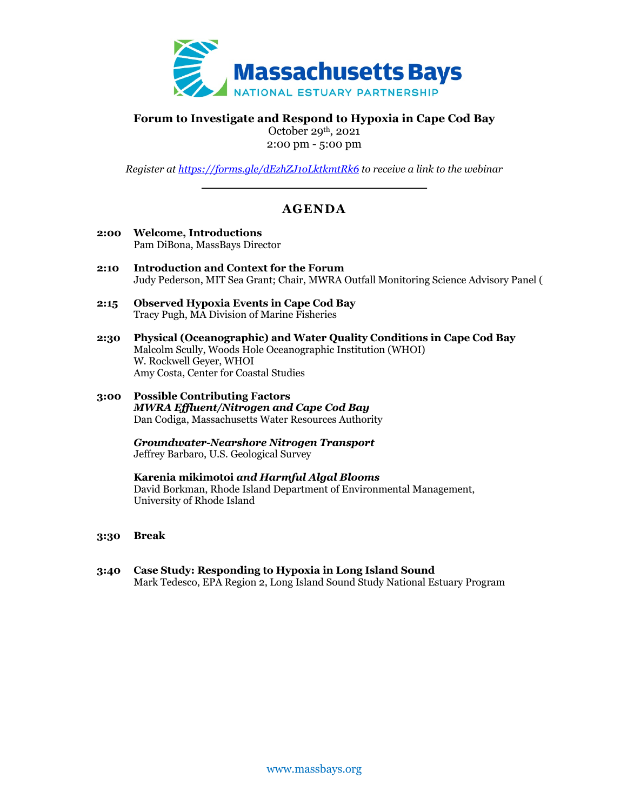

# **Forum to Investigate and Respond to Hypoxia in Cape Cod Bay**

October 29th, 2021 2:00 pm - 5:00 pm

*Register at https://forms.gle/dEzhZJ1oLktkmtRk6 to receive a link to the webinar*

# **AGENDA**

- **2:00 Welcome, Introductions** Pam DiBona, MassBays Director
- **2:10 Introduction and Context for the Forum** Judy Pederson, MIT Sea Grant; Chair, MWRA Outfall Monitoring Science Advisory Panel (
- **2:15 Observed Hypoxia Events in Cape Cod Bay** Tracy Pugh, MA Division of Marine Fisheries
- **2:30 Physical (Oceanographic) and Water Quality Conditions in Cape Cod Bay** Malcolm Scully, Woods Hole Oceanographic Institution (WHOI) W. Rockwell Geyer, WHOI Amy Costa, Center for Coastal Studies
- **3:00 Possible Contributing Factors** *MWRA Effluent/Nitrogen and Cape Cod Bay* Dan Codiga, Massachusetts Water Resources Authority

*Groundwater-Nearshore Nitrogen Transport* Jeffrey Barbaro, U.S. Geological Survey

**Karenia mikimotoi** *and Harmful Algal Blooms* David Borkman, Rhode Island Department of Environmental Management, University of Rhode Island

- **3:30 Break**
- **3:40 Case Study: Responding to Hypoxia in Long Island Sound** Mark Tedesco, EPA Region 2, Long Island Sound Study National Estuary Program